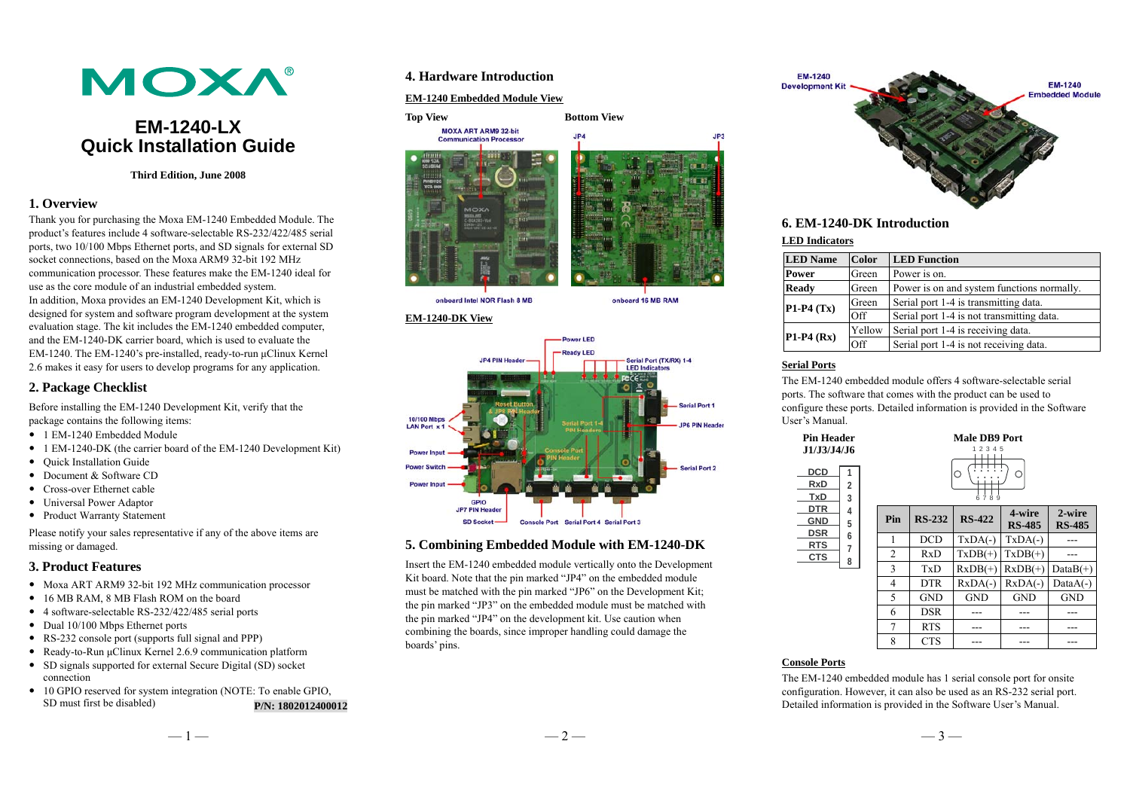

# **EM-1240-LX Quick Installation Guide**

#### **Third Edition, June 2008**

# **1. Overview**

Thank you for purchasing the Moxa EM-1240 Embedded Module. The product's features include 4 software-selectable RS-232/422/485 serial ports, two 10/100 Mbps Ethernet ports, and SD signals for external SD socket connections, based on the Moxa ARM9 32-bit 192 MHz communication processor. These features make the EM-1240 ideal for use as the core module of an industrial embedded system. In addition, Moxa provides an EM-1240 Development Kit, which is designed for system and software program development at the system evaluation stage. The kit includes the EM-1240 embedded computer, and the EM-1240-DK carrier board, which is used to evaluate the EM-1240. The EM-1240's pre-installed, ready-to-run μClinux Kernel 2.6 makes it easy for users to develop programs for any application.

# **2. Package Checklist**

Before installing the EM-1240 Development Kit, verify that the package contains the following items:

- 1 EM-1240 Embedded Module
- 1 EM-1240-DK (the carrier board of the EM-1240 Development Kit)
- Quick Installation Guide
- Document & Software CD
- Cross-over Ethernet cable
- Universal Power Adaptor
- Product Warranty Statement

Please notify your sales representative if any of the above items are missing or damaged.

#### **3. Product Features**

- Moxa ART ARM9 32-bit 192 MHz communication processor
- 16 MB RAM, 8 MB Flash ROM on the board
- 4 software-selectable RS-232/422/485 serial ports
- Dual 10/100 Mbps Ethernet ports
- RS-232 console port (supports full signal and PPP)
- Ready-to-Run μClinux Kernel 2.6.9 communication platform
- SD signals supported for external Secure Digital (SD) socket connection
- 10 GPIO reserved for system integration (NOTE: To enable GPIO, SD must first be disabled) **P/N: 1802012400012**

# **4. Hardware Introduction**

### **EM-1240 Embedded Module View**



#### **EM-1240-DK View**



# **5. Combining Embedded Module with EM-1240-DK**

Insert the EM-1240 embedded module vertically onto the Development Kit board. Note that the pin marked "JP4" on the embedded module must be matched with the pin marked "JP6" on the Development Kit; the pin marked "JP3" on the embedded module must be matched with the pin marked "JP4" on the development kit. Use caution when combining the boards, since improper handling could damage the boards' pins.



# **6. EM-1240-DK Introduction**

#### **LED Indicators**

| <b>LED</b> Name | <b>Color</b> | <b>LED</b> Function                        |
|-----------------|--------------|--------------------------------------------|
| <b>Power</b>    | Green        | Power is on.                               |
| <b>Ready</b>    | Green        | Power is on and system functions normally. |
| $P1-P4(Tx)$     | Green        | Serial port 1-4 is transmitting data.      |
|                 | Off          | Serial port 1-4 is not transmitting data.  |
| $P1-P4(Rx)$     | Yellow       | Serial port 1-4 is receiving data.         |
|                 | Off          | Serial port 1-4 is not receiving data.     |

### **Serial Ports**

The EM-1240 embedded module offers 4 software-selectable serial ports. The software that comes with the product can be used to configure these ports. Detailed information is provided in the Software User's Manual.

| <b>Pin Header</b><br>J1/J3/J4/J6<br><b>DCD</b><br>1<br><b>RxD</b><br>$\overline{2}$<br><b>TxD</b><br>3<br><b>DTR</b><br>4<br><b>GND</b><br>5 |        | <b>Male DB9 Port</b><br>1 2 3 4 5<br>C<br>6789 |               |               |                         |                         |  |
|----------------------------------------------------------------------------------------------------------------------------------------------|--------|------------------------------------------------|---------------|---------------|-------------------------|-------------------------|--|
|                                                                                                                                              |        | Pin                                            | <b>RS-232</b> | <b>RS-422</b> | 4-wire<br><b>RS-485</b> | 2-wire<br><b>RS-485</b> |  |
| <b>DSR</b><br><b>RTS</b>                                                                                                                     | 6      | 1                                              | <b>DCD</b>    | $TxDA(-)$     | $TxDA(-)$               |                         |  |
| <b>CTS</b>                                                                                                                                   | 7<br>8 | $\overline{2}$                                 | RxD           | $TxDB(+)$     | $TxDB(+)$               |                         |  |
|                                                                                                                                              |        | 3                                              | TxD           | $RxDB(+)$     | $RxDB(+)$               | $DataB(+)$              |  |
|                                                                                                                                              |        | 4                                              | <b>DTR</b>    | $RxDA(-)$     | $RxDA(-)$               | $DataA(-)$              |  |
|                                                                                                                                              |        | 5                                              | <b>GND</b>    | <b>GND</b>    | <b>GND</b>              | <b>GND</b>              |  |
|                                                                                                                                              |        | 6                                              | <b>DSR</b>    |               |                         |                         |  |
|                                                                                                                                              |        | 7                                              | <b>RTS</b>    |               |                         |                         |  |
|                                                                                                                                              |        | 8                                              | <b>CTS</b>    |               |                         |                         |  |

# **Console Ports**

The EM-1240 embedded module has 1 serial console port for onsite configuration. However, it can also be used as an RS-232 serial port. Detailed information is provided in the Software User's Manual.